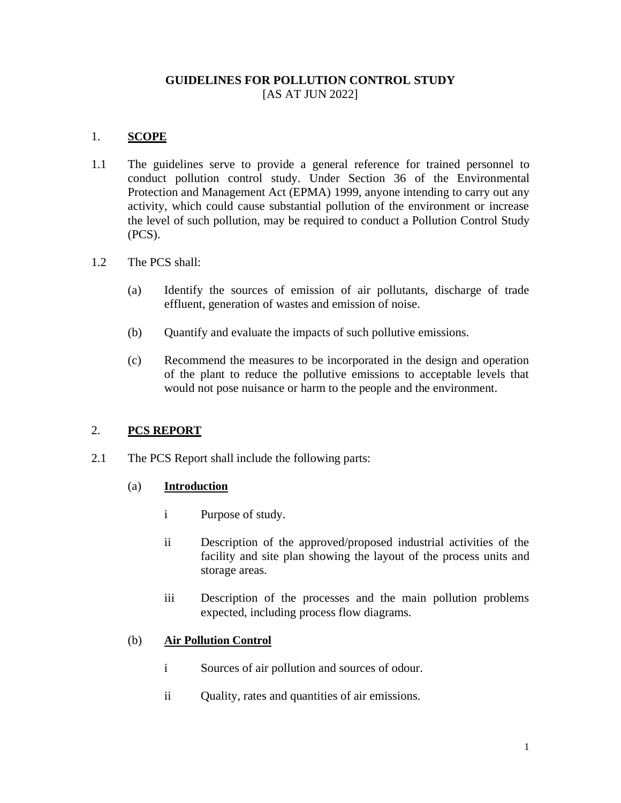# **GUIDELINES FOR POLLUTION CONTROL STUDY** [AS AT JUN 2022]

# 1. **SCOPE**

- 1.1 The guidelines serve to provide a general reference for trained personnel to conduct pollution control study. Under Section 36 of the Environmental Protection and Management Act (EPMA) 1999, anyone intending to carry out any activity, which could cause substantial pollution of the environment or increase the level of such pollution, may be required to conduct a Pollution Control Study (PCS).
- 1.2 The PCS shall:
	- (a) Identify the sources of emission of air pollutants, discharge of trade effluent, generation of wastes and emission of noise.
	- (b) Quantify and evaluate the impacts of such pollutive emissions.
	- (c) Recommend the measures to be incorporated in the design and operation of the plant to reduce the pollutive emissions to acceptable levels that would not pose nuisance or harm to the people and the environment.

# 2. **PCS REPORT**

2.1 The PCS Report shall include the following parts:

### (a) **Introduction**

- i Purpose of study.
- ii Description of the approved/proposed industrial activities of the facility and site plan showing the layout of the process units and storage areas.
- iii Description of the processes and the main pollution problems expected, including process flow diagrams.

### (b) **Air Pollution Control**

- i Sources of air pollution and sources of odour.
- ii Quality, rates and quantities of air emissions.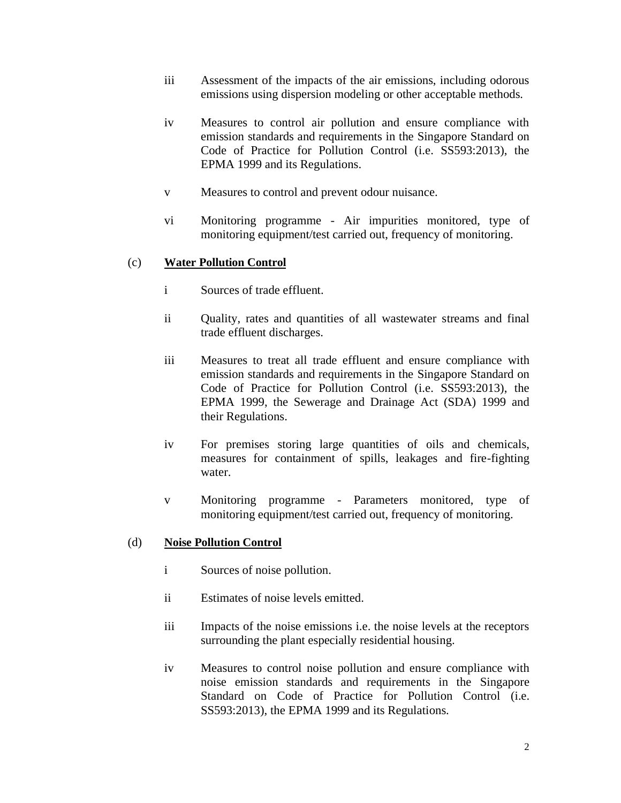- iii Assessment of the impacts of the air emissions, including odorous emissions using dispersion modeling or other acceptable methods.
- iv Measures to control air pollution and ensure compliance with emission standards and requirements in the Singapore Standard on Code of Practice for Pollution Control (i.e. SS593:2013), the EPMA 1999 and its Regulations.
- v Measures to control and prevent odour nuisance.
- vi Monitoring programme Air impurities monitored, type of monitoring equipment/test carried out, frequency of monitoring.

### (c) **Water Pollution Control**

- i Sources of trade effluent.
- ii Quality, rates and quantities of all wastewater streams and final trade effluent discharges.
- iii Measures to treat all trade effluent and ensure compliance with emission standards and requirements in the Singapore Standard on Code of Practice for Pollution Control (i.e. SS593:2013), the EPMA 1999, the Sewerage and Drainage Act (SDA) 1999 and their Regulations.
- iv For premises storing large quantities of oils and chemicals, measures for containment of spills, leakages and fire-fighting water.
- v Monitoring programme Parameters monitored, type of monitoring equipment/test carried out, frequency of monitoring.

### (d) **Noise Pollution Control**

- i Sources of noise pollution.
- ii Estimates of noise levels emitted.
- iii Impacts of the noise emissions i.e. the noise levels at the receptors surrounding the plant especially residential housing.
- iv Measures to control noise pollution and ensure compliance with noise emission standards and requirements in the Singapore Standard on Code of Practice for Pollution Control (i.e. SS593:2013), the EPMA 1999 and its Regulations.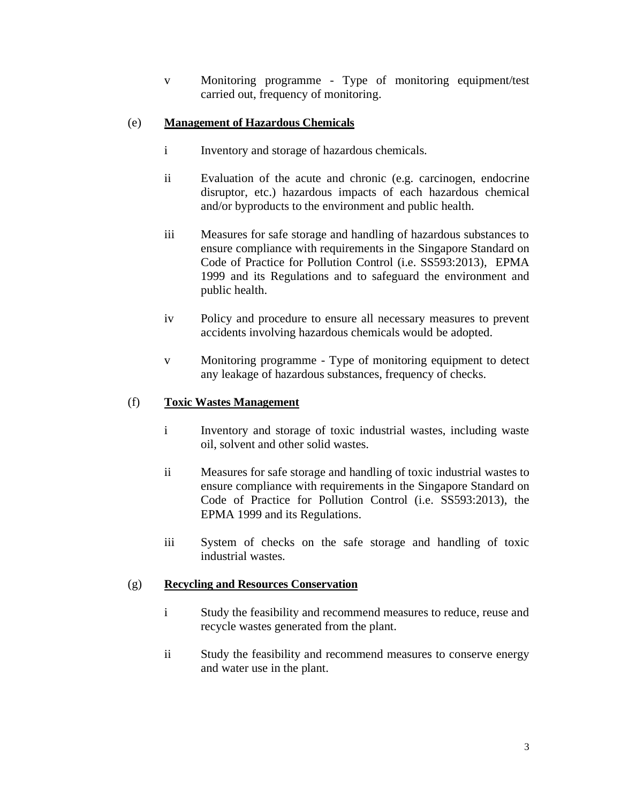v Monitoring programme - Type of monitoring equipment/test carried out, frequency of monitoring.

# (e) **Management of Hazardous Chemicals**

- i Inventory and storage of hazardous chemicals.
- ii Evaluation of the acute and chronic (e.g. carcinogen, endocrine disruptor, etc.) hazardous impacts of each hazardous chemical and/or byproducts to the environment and public health.
- iii Measures for safe storage and handling of hazardous substances to ensure compliance with requirements in the Singapore Standard on Code of Practice for Pollution Control (i.e. SS593:2013), EPMA 1999 and its Regulations and to safeguard the environment and public health.
- iv Policy and procedure to ensure all necessary measures to prevent accidents involving hazardous chemicals would be adopted.
- v Monitoring programme Type of monitoring equipment to detect any leakage of hazardous substances, frequency of checks.

# (f) **Toxic Wastes Management**

- i Inventory and storage of toxic industrial wastes, including waste oil, solvent and other solid wastes.
- ii Measures for safe storage and handling of toxic industrial wastes to ensure compliance with requirements in the Singapore Standard on Code of Practice for Pollution Control (i.e. SS593:2013), the EPMA 1999 and its Regulations.
- iii System of checks on the safe storage and handling of toxic industrial wastes.

# (g) **Recycling and Resources Conservation**

- i Study the feasibility and recommend measures to reduce, reuse and recycle wastes generated from the plant.
- ii Study the feasibility and recommend measures to conserve energy and water use in the plant.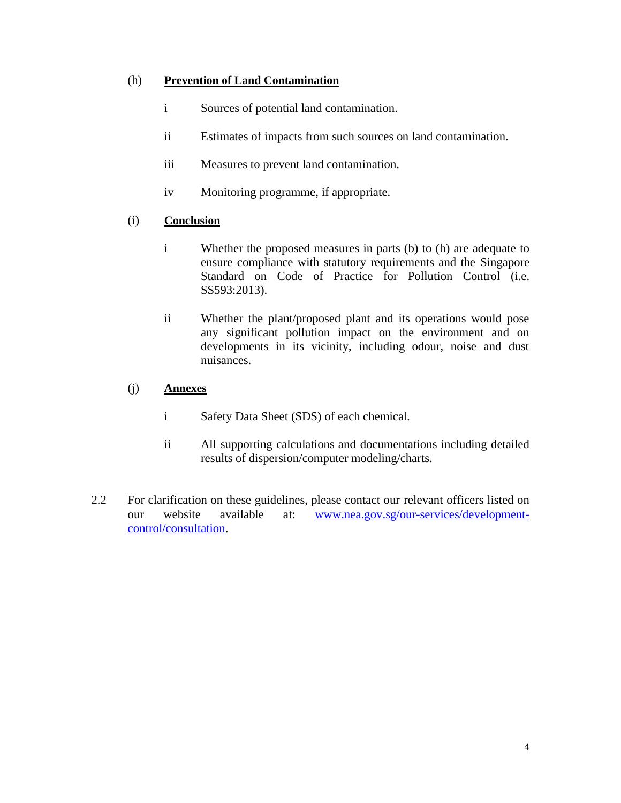# (h) **Prevention of Land Contamination**

- i Sources of potential land contamination.
- ii Estimates of impacts from such sources on land contamination.
- iii Measures to prevent land contamination.
- iv Monitoring programme, if appropriate.

# (i) **Conclusion**

- i Whether the proposed measures in parts (b) to (h) are adequate to ensure compliance with statutory requirements and the Singapore Standard on Code of Practice for Pollution Control (i.e. SS593:2013).
- ii Whether the plant/proposed plant and its operations would pose any significant pollution impact on the environment and on developments in its vicinity, including odour, noise and dust nuisances.

# (j) **Annexes**

- i Safety Data Sheet (SDS) of each chemical.
- ii All supporting calculations and documentations including detailed results of dispersion/computer modeling/charts.
- 2.2 For clarification on these guidelines, please contact our relevant officers listed on our website available at: [www.nea.gov.sg/our-services/development](http://www.nea.gov.sg/our-services/development-control/consultation)[control/consultation.](http://www.nea.gov.sg/our-services/development-control/consultation)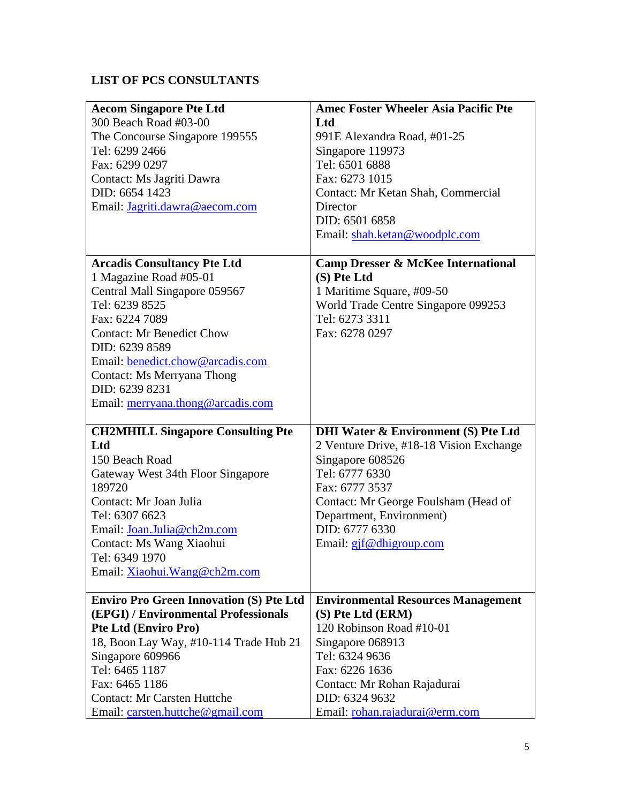# **LIST OF PCS CONSULTANTS**

| <b>Aecom Singapore Pte Ltd</b>                 | <b>Amec Foster Wheeler Asia Pacific Pte</b>    |
|------------------------------------------------|------------------------------------------------|
| 300 Beach Road #03-00                          | Ltd                                            |
| The Concourse Singapore 199555                 | 991E Alexandra Road, #01-25                    |
| Tel: 6299 2466                                 | Singapore 119973                               |
| Fax: 6299 0297                                 | Tel: 6501 6888                                 |
| Contact: Ms Jagriti Dawra                      | Fax: 6273 1015                                 |
| DID: 6654 1423                                 | Contact: Mr Ketan Shah, Commercial             |
| Email: Jagriti.dawra@aecom.com                 | Director                                       |
|                                                | DID: 6501 6858                                 |
|                                                | Email: shah.ketan@woodplc.com                  |
| <b>Arcadis Consultancy Pte Ltd</b>             | <b>Camp Dresser &amp; McKee International</b>  |
| 1 Magazine Road #05-01                         | (S) Pte Ltd                                    |
| Central Mall Singapore 059567                  | 1 Maritime Square, #09-50                      |
| Tel: 6239 8525                                 | World Trade Centre Singapore 099253            |
| Fax: 6224 7089                                 | Tel: 6273 3311                                 |
| <b>Contact: Mr Benedict Chow</b>               | Fax: 6278 0297                                 |
| DID: 6239 8589                                 |                                                |
| Email: benedict.chow@arcadis.com               |                                                |
| <b>Contact: Ms Merryana Thong</b>              |                                                |
| DID: 6239 8231                                 |                                                |
| Email: merryana.thong@arcadis.com              |                                                |
|                                                |                                                |
| <b>CH2MHILL Singapore Consulting Pte</b>       | <b>DHI Water &amp; Environment (S) Pte Ltd</b> |
| Ltd                                            | 2 Venture Drive, #18-18 Vision Exchange        |
| 150 Beach Road                                 | Singapore 608526                               |
| Gateway West 34th Floor Singapore              | Tel: 6777 6330                                 |
| 189720                                         | Fax: 6777 3537                                 |
| Contact: Mr Joan Julia                         | Contact: Mr George Foulsham (Head of           |
| Tel: 6307 6623                                 | Department, Environment)                       |
| Email: Joan.Julia@ch2m.com                     | DID: 6777 6330                                 |
| Contact: Ms Wang Xiaohui                       | Email: gjf@dhigroup.com                        |
| Tel: 6349 1970                                 |                                                |
| Email: Xiaohui.Wang@ch2m.com                   |                                                |
| <b>Enviro Pro Green Innovation (S) Pte Ltd</b> | <b>Environmental Resources Management</b>      |
| (EPGI) / Environmental Professionals           | (S) Pte Ltd (ERM)                              |
| <b>Pte Ltd (Enviro Pro)</b>                    | 120 Robinson Road #10-01                       |
| 18, Boon Lay Way, #10-114 Trade Hub 21         | Singapore 068913                               |
| Singapore 609966                               | Tel: 6324 9636                                 |
| Tel: 6465 1187                                 | Fax: 6226 1636                                 |
| Fax: 6465 1186                                 | Contact: Mr Rohan Rajadurai                    |
| <b>Contact: Mr Carsten Huttche</b>             | DID: 6324 9632                                 |
| Email: carsten.huttche@gmail.com               | Email: rohan.rajadurai@erm.com                 |